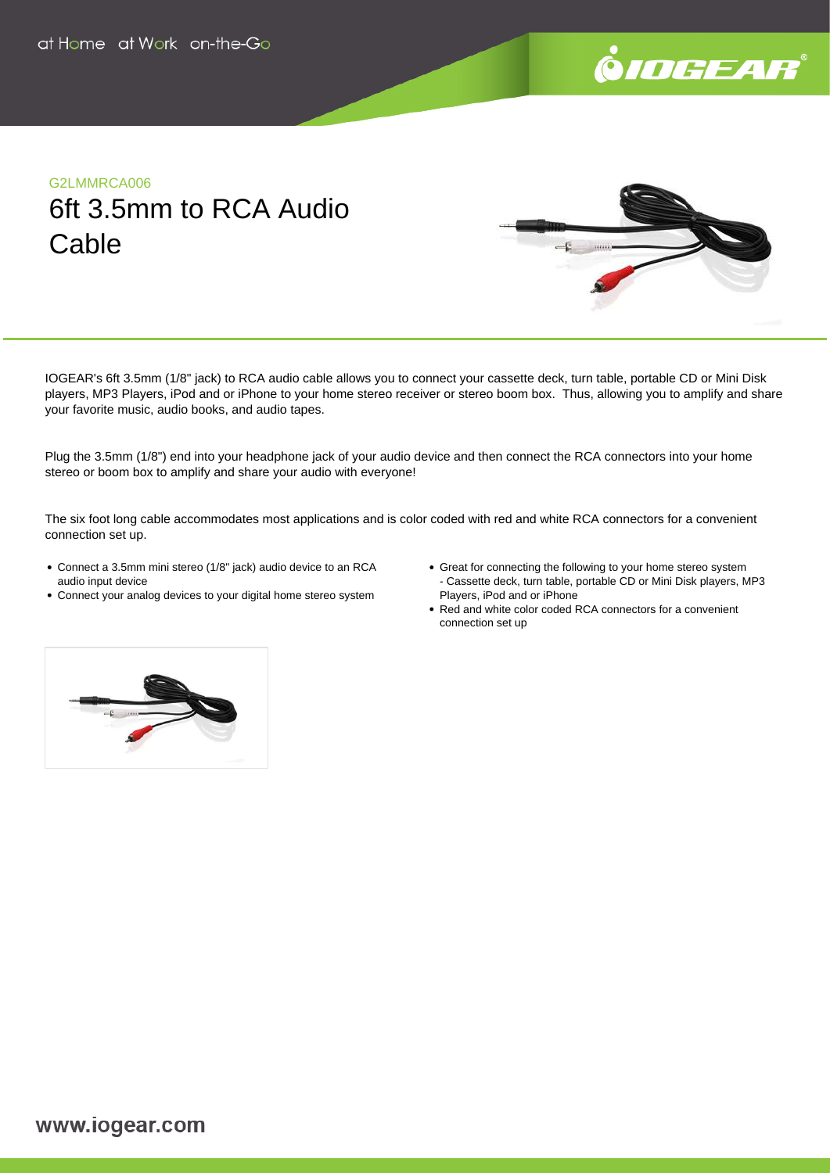

# G2LMMRCA006 6ft 3.5mm to RCA Audio **Cable**



IOGEAR's 6ft 3.5mm (1/8" jack) to RCA audio cable allows you to connect your cassette deck, turn table, portable CD or Mini Disk players, MP3 Players, iPod and or iPhone to your home stereo receiver or stereo boom box. Thus, allowing you to amplify and share your favorite music, audio books, and audio tapes.

Plug the 3.5mm (1/8") end into your headphone jack of your audio device and then connect the RCA connectors into your home stereo or boom box to amplify and share your audio with everyone!

The six foot long cable accommodates most applications and is color coded with red and white RCA connectors for a convenient connection set up.

- Connect a 3.5mm mini stereo (1/8" jack) audio device to an RCA audio input device
- Connect your analog devices to your digital home stereo system
- Great for connecting the following to your home stereo system - Cassette deck, turn table, portable CD or Mini Disk players, MP3 Players, iPod and or iPhone
- Red and white color coded RCA connectors for a convenient connection set up